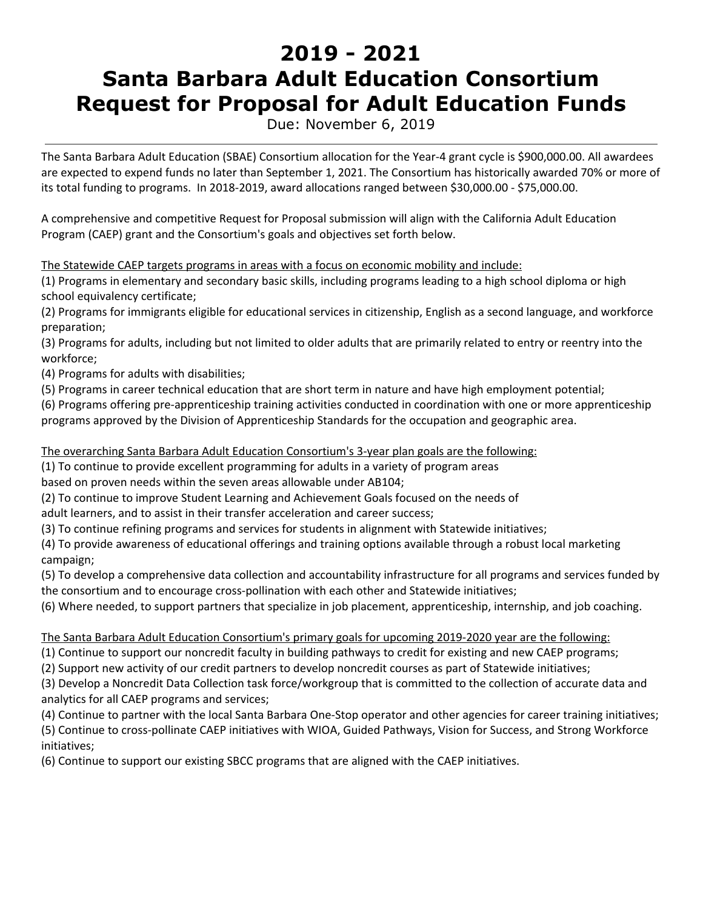# **2019 - 2021 Santa Barbara Adult Education Consortium Request for Proposal for Adult Education Funds**

Due: November 6, 2019

The Santa Barbara Adult Education (SBAE) Consortium allocation for the Year-4 grant cycle is \$900,000.00. All awardees are expected to expend funds no later than September 1, 2021. The Consortium has historically awarded 70% or more of its total funding to programs. In 2018-2019, award allocations ranged between \$30,000.00 - \$75,000.00.

A comprehensive and competitive Request for Proposal submission will align with the California Adult Education Program (CAEP) grant and the Consortium's goals and objectives set forth below.

The Statewide CAEP targets programs in areas with a focus on economic mobility and include:

(1) Programs in elementary and secondary basic skills, including programs leading to a high school diploma or high school equivalency certificate;

(2) Programs for immigrants eligible for educational services in citizenship, English as a second language, and workforce preparation;

(3) Programs for adults, including but not limited to older adults that are primarily related to entry or reentry into the workforce;

(4) Programs for adults with disabilities;

(5) Programs in career technical education that are short term in nature and have high employment potential;

(6) Programs offering pre-apprenticeship training activities conducted in coordination with one or more apprenticeship programs approved by the Division of Apprenticeship Standards for the occupation and geographic area.

The overarching Santa Barbara Adult Education Consortium's 3-year plan goals are the following:

(1) To continue to provide excellent programming for adults in a variety of program areas

based on proven needs within the seven areas allowable under AB104;

(2) To continue to improve Student Learning and Achievement Goals focused on the needs of

adult learners, and to assist in their transfer acceleration and career success;

(3) To continue refining programs and services for students in alignment with Statewide initiatives;

(4) To provide awareness of educational offerings and training options available through a robust local marketing campaign;

(5) To develop a comprehensive data collection and accountability infrastructure for all programs and services funded by the consortium and to encourage cross-pollination with each other and Statewide initiatives;

(6) Where needed, to support partners that specialize in job placement, apprenticeship, internship, and job coaching.

The Santa Barbara Adult Education Consortium's primary goals for upcoming 2019-2020 year are the following:

(1) Continue to support our noncredit faculty in building pathways to credit for existing and new CAEP programs;

(2) Support new activity of our credit partners to develop noncredit courses as part of Statewide initiatives;

(3) Develop a Noncredit Data Collection task force/workgroup that is committed to the collection of accurate data and analytics for all CAEP programs and services;

(4) Continue to partner with the local Santa Barbara One-Stop operator and other agencies for career training initiatives; (5) Continue to cross-pollinate CAEP initiatives with WIOA, Guided Pathways, Vision for Success, and Strong Workforce initiatives;

(6) Continue to support our existing SBCC programs that are aligned with the CAEP initiatives.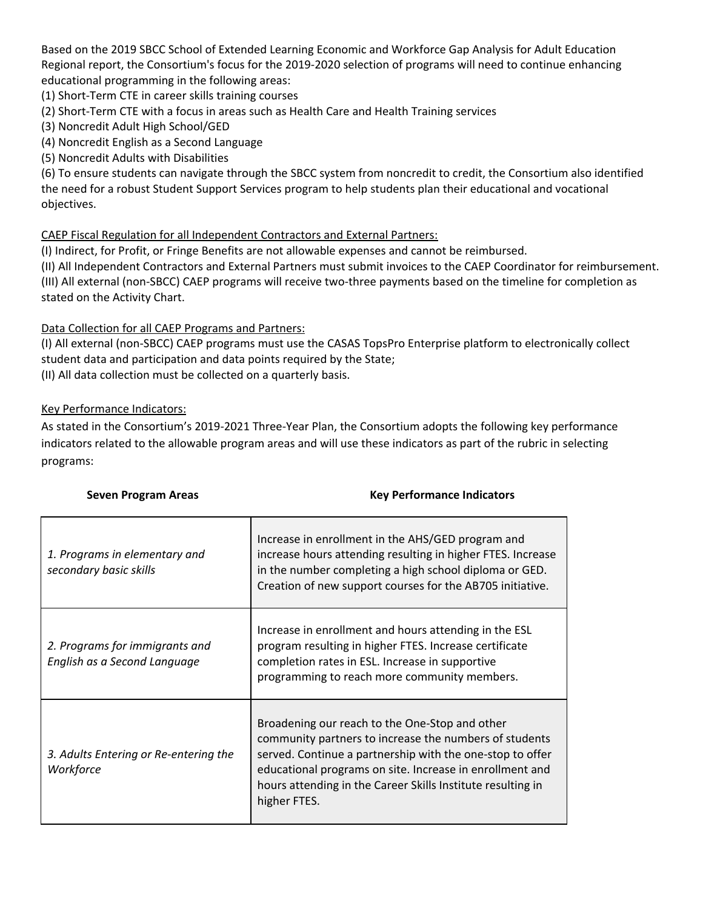Based on the 2019 SBCC School of Extended Learning Economic and Workforce Gap Analysis for Adult Education Regional report, the Consortium's focus for the 2019-2020 selection of programs will need to continue enhancing educational programming in the following areas:

(1) Short-Term CTE in career skills training courses

(2) Short-Term CTE with a focus in areas such as Health Care and Health Training services

- (3) Noncredit Adult High School/GED
- (4) Noncredit English as a Second Language
- (5) Noncredit Adults with Disabilities

(6) To ensure students can navigate through the SBCC system from noncredit to credit, the Consortium also identified the need for a robust Student Support Services program to help students plan their educational and vocational objectives.

#### CAEP Fiscal Regulation for all Independent Contractors and External Partners:

(I) Indirect, for Profit, or Fringe Benefits are not allowable expenses and cannot be reimbursed.

(II) All Independent Contractors and External Partners must submit invoices to the CAEP Coordinator for reimbursement. (III) All external (non-SBCC) CAEP programs will receive two-three payments based on the timeline for completion as stated on the Activity Chart.

#### Data Collection for all CAEP Programs and Partners:

(I) All external (non-SBCC) CAEP programs must use the CASAS TopsPro Enterprise platform to electronically collect student data and participation and data points required by the State;

(II) All data collection must be collected on a quarterly basis.

#### Key Performance Indicators:

As stated in the Consortium's 2019-2021 Three-Year Plan, the Consortium adopts the following key performance indicators related to the allowable program areas and will use these indicators as part of the rubric in selecting programs:

| 1. Programs in elementary and<br>secondary basic skills        | Increase in enrollment in the AHS/GED program and<br>increase hours attending resulting in higher FTES. Increase<br>in the number completing a high school diploma or GED.<br>Creation of new support courses for the AB705 initiative.                                                                          |
|----------------------------------------------------------------|------------------------------------------------------------------------------------------------------------------------------------------------------------------------------------------------------------------------------------------------------------------------------------------------------------------|
| 2. Programs for immigrants and<br>English as a Second Language | Increase in enrollment and hours attending in the ESL<br>program resulting in higher FTES. Increase certificate<br>completion rates in ESL. Increase in supportive<br>programming to reach more community members.                                                                                               |
| 3. Adults Entering or Re-entering the<br>Workforce             | Broadening our reach to the One-Stop and other<br>community partners to increase the numbers of students<br>served. Continue a partnership with the one-stop to offer<br>educational programs on site. Increase in enrollment and<br>hours attending in the Career Skills Institute resulting in<br>higher FTES. |

# **Seven Program Areas Key Performance Indicators**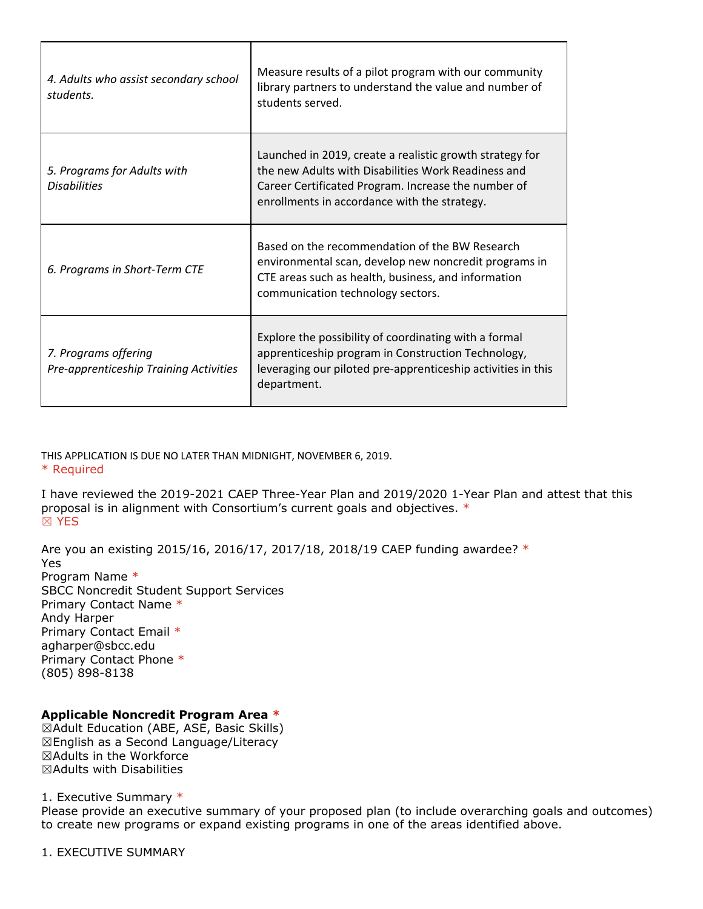| 4. Adults who assist secondary school<br>students.             | Measure results of a pilot program with our community<br>library partners to understand the value and number of<br>students served.                                                                                    |
|----------------------------------------------------------------|------------------------------------------------------------------------------------------------------------------------------------------------------------------------------------------------------------------------|
| 5. Programs for Adults with<br><b>Disabilities</b>             | Launched in 2019, create a realistic growth strategy for<br>the new Adults with Disabilities Work Readiness and<br>Career Certificated Program. Increase the number of<br>enrollments in accordance with the strategy. |
| 6. Programs in Short-Term CTE                                  | Based on the recommendation of the BW Research<br>environmental scan, develop new noncredit programs in<br>CTE areas such as health, business, and information<br>communication technology sectors.                    |
| 7. Programs offering<br>Pre-apprenticeship Training Activities | Explore the possibility of coordinating with a formal<br>apprenticeship program in Construction Technology,<br>leveraging our piloted pre-apprenticeship activities in this<br>department.                             |

Τ

THIS APPLICATION IS DUE NO LATER THAN MIDNIGHT, NOVEMBER 6, 2019. \* Required

I have reviewed the 2019-2021 CAEP Three-Year Plan and 2019/2020 1-Year Plan and attest that this proposal is in alignment with Consortium's current goals and objectives. \* ☒ YES

Are you an existing 2015/16, 2016/17, 2017/18, 2018/19 CAEP funding awardee? \* Yes Program Name \* SBCC Noncredit Student Support Services Primary Contact Name \* Andy Harper Primary Contact Email \* agharper@sbcc.edu Primary Contact Phone \* (805) 898-8138

#### **Applicable Noncredit Program Area \***

☒Adult Education (ABE, ASE, Basic Skills) ☒English as a Second Language/Literacy ☒Adults in the Workforce ☒Adults with Disabilities

1. Executive Summary \*

Please provide an executive summary of your proposed plan (to include overarching goals and outcomes) to create new programs or expand existing programs in one of the areas identified above.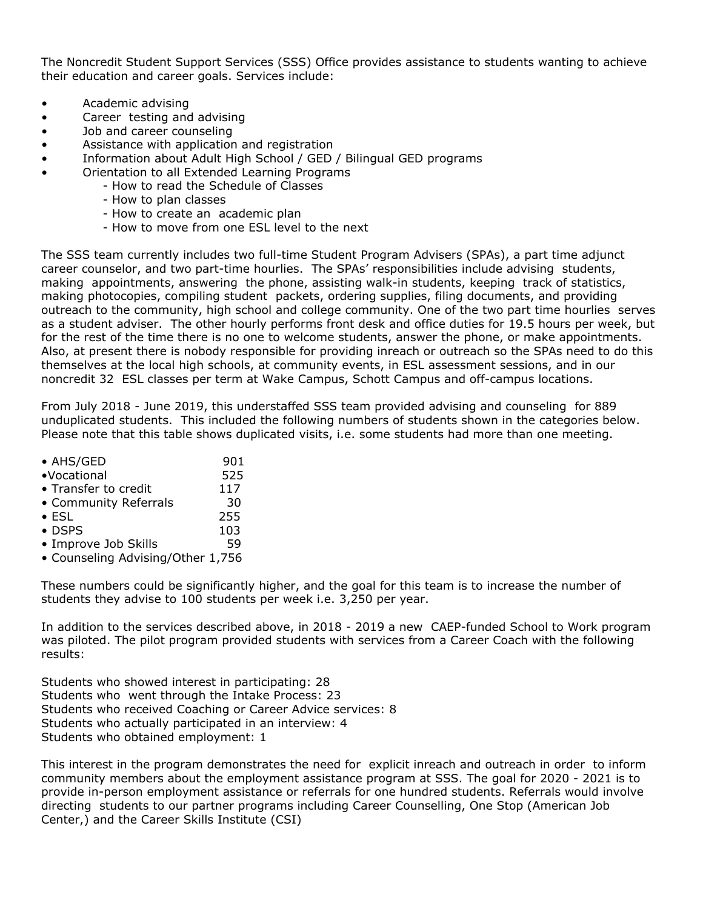The Noncredit Student Support Services (SSS) Office provides assistance to students wanting to achieve their education and career goals. Services include:

- Academic advising
- Career testing and advising
- Job and career counseling
- Assistance with application and registration
- Information about Adult High School / GED / Bilingual GED programs
- Orientation to all Extended Learning Programs
	- How to read the Schedule of Classes
	- How to plan classes
	- How to create an academic plan
	- How to move from one ESL level to the next

The SSS team currently includes two full-time Student Program Advisers (SPAs), a part time adjunct career counselor, and two part-time hourlies. The SPAs' responsibilities include advising students, making appointments, answering the phone, assisting walk-in students, keeping track of statistics, making photocopies, compiling student packets, ordering supplies, filing documents, and providing outreach to the community, high school and college community. One of the two part time hourlies serves as a student adviser. The other hourly performs front desk and office duties for 19.5 hours per week, but for the rest of the time there is no one to welcome students, answer the phone, or make appointments. Also, at present there is nobody responsible for providing inreach or outreach so the SPAs need to do this themselves at the local high schools, at community events, in ESL assessment sessions, and in our noncredit 32 ESL classes per term at Wake Campus, Schott Campus and off-campus locations.

From July 2018 - June 2019, this understaffed SSS team provided advising and counseling for 889 unduplicated students. This included the following numbers of students shown in the categories below. Please note that this table shows duplicated visits, i.e. some students had more than one meeting.

| • AHS/GED                         | 901 |
|-----------------------------------|-----|
| ·Vocational                       | 525 |
| • Transfer to credit              | 117 |
| • Community Referrals             | 30  |
| $\bullet$ ESL                     | 255 |
| $\bullet$ DSPS                    | 103 |
| • Improve Job Skills              | 59  |
| • Counseling Advising/Other 1,756 |     |
|                                   |     |

These numbers could be significantly higher, and the goal for this team is to increase the number of students they advise to 100 students per week i.e. 3,250 per year.

In addition to the services described above, in 2018 - 2019 a new CAEP-funded School to Work program was piloted. The pilot program provided students with services from a Career Coach with the following results:

Students who showed interest in participating: 28 Students who went through the Intake Process: 23 Students who received Coaching or Career Advice services: 8 Students who actually participated in an interview: 4 Students who obtained employment: 1

This interest in the program demonstrates the need for explicit inreach and outreach in order to inform community members about the employment assistance program at SSS. The goal for 2020 - 2021 is to provide in-person employment assistance or referrals for one hundred students. Referrals would involve directing students to our partner programs including Career Counselling, One Stop (American Job Center,) and the Career Skills Institute (CSI)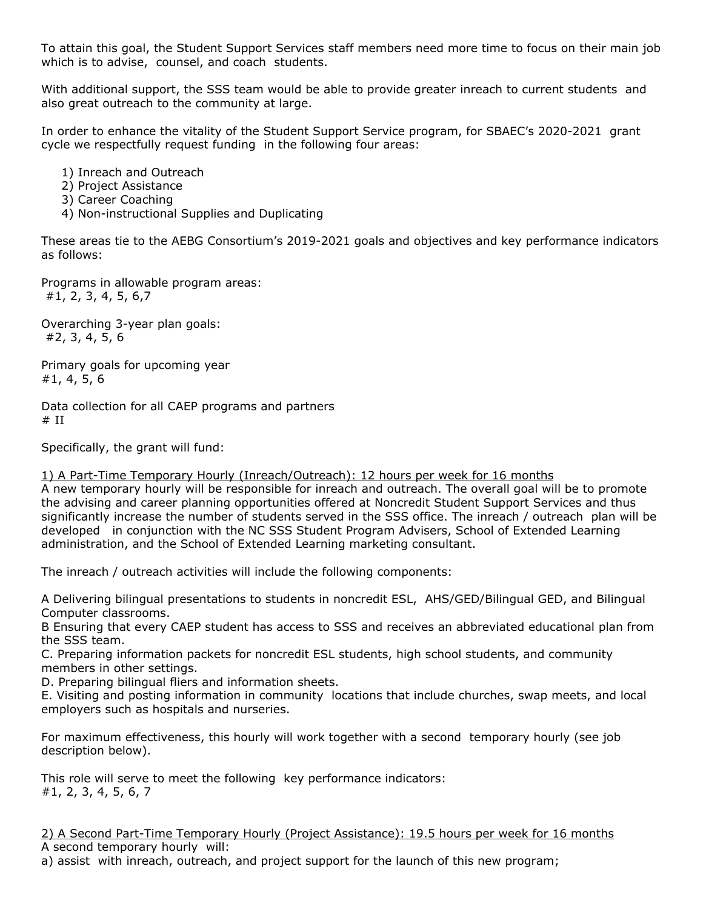To attain this goal, the Student Support Services staff members need more time to focus on their main job which is to advise, counsel, and coach students.

With additional support, the SSS team would be able to provide greater inreach to current students and also great outreach to the community at large.

In order to enhance the vitality of the Student Support Service program, for SBAEC's 2020-2021 grant cycle we respectfully request funding in the following four areas:

1) Inreach and Outreach

- 2) Project Assistance
- 3) Career Coaching
- 4) Non-instructional Supplies and Duplicating

These areas tie to the AEBG Consortium's 2019-2021 goals and objectives and key performance indicators as follows:

Programs in allowable program areas: #1, 2, 3, 4, 5, 6,7

Overarching 3-year plan goals: #2, 3, 4, 5, 6

Primary goals for upcoming year #1, 4, 5, 6

Data collection for all CAEP programs and partners  $#$  II

Specifically, the grant will fund:

1) A Part-Time Temporary Hourly (Inreach/Outreach): 12 hours per week for 16 months

A new temporary hourly will be responsible for inreach and outreach. The overall goal will be to promote the advising and career planning opportunities offered at Noncredit Student Support Services and thus significantly increase the number of students served in the SSS office. The inreach / outreach plan will be developed in conjunction with the NC SSS Student Program Advisers, School of Extended Learning administration, and the School of Extended Learning marketing consultant.

The inreach / outreach activities will include the following components:

A Delivering bilingual presentations to students in noncredit ESL, AHS/GED/Bilingual GED, and Bilingual Computer classrooms.

B Ensuring that every CAEP student has access to SSS and receives an abbreviated educational plan from the SSS team.

C. Preparing information packets for noncredit ESL students, high school students, and community members in other settings.

D. Preparing bilingual fliers and information sheets.

E. Visiting and posting information in community locations that include churches, swap meets, and local employers such as hospitals and nurseries.

For maximum effectiveness, this hourly will work together with a second temporary hourly (see job description below).

This role will serve to meet the following key performance indicators: #1, 2, 3, 4, 5, 6, 7

2) A Second Part-Time Temporary Hourly (Project Assistance): 19.5 hours per week for 16 months A second temporary hourly will:

a) assist with inreach, outreach, and project support for the launch of this new program;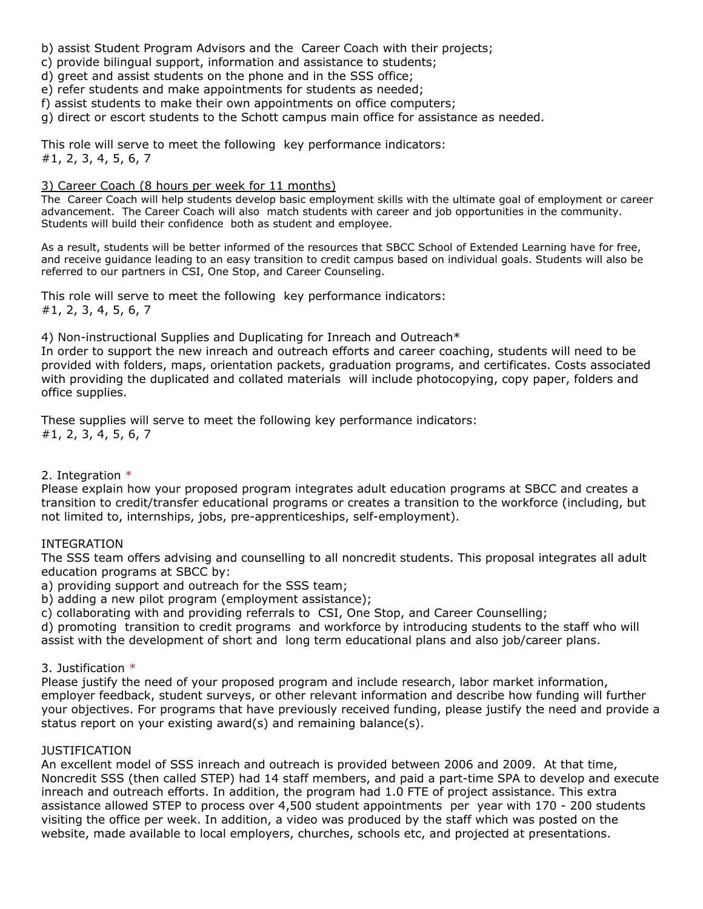- b) assist Student Program Advisors and the Career Coach with their projects;
- c) provide bilingual support, information and assistance to students;
- d) greet and assist students on the phone and in the SSS office;
- e) refer students and make appointments for students as needed;
- f) assist students to make their own appointments on office computers;
- g) direct or escort students to the Schott campus main office for assistance as needed.

This role will serve to meet the following key performance indicators: #1, 2, 3, 4, 5, 6, 7

#### 3) Career Coach (8 hours per week for 11 months)

The Career Coach will help students develop basic employment skills with the ultimate goal of employment or career advancement. The Career Coach will also match students with career and job opportunities in the community. Students will build their confidence both as student and employee.

As a result, students will be better informed of the resources that SBCC School of Extended Learning have for free, and receive guidance leading to an easy transition to credit campus based on individual goals. Students will also be referred to our partners in CSI, One Stop, and Career Counseling.

This role will serve to meet the following key performance indicators: #1, 2, 3, 4, 5, 6, 7

4) Non-instructional Supplies and Duplicating for Inreach and Outreach\*

In order to support the new inreach and outreach efforts and career coaching, students will need to be provided with folders, maps, orientation packets, graduation programs, and certificates. Costs associated with providing the duplicated and collated materials will include photocopying, copy paper, folders and office supplies.

These supplies will serve to meet the following key performance indicators: #1, 2, 3, 4, 5, 6, 7

#### 2. Integration  $*$

Please explain how your proposed program integrates adult education programs at SBCC and creates a transition to credit/transfer educational programs or creates a transition to the workforce (including, but not limited to, internships, jobs, pre-apprenticeships, self-employment).

#### INTEGRATION

The SSS team offers advising and counselling to all noncredit students. This proposal integrates all adult education programs at SBCC by:

a) providing support and outreach for the SSS team;

b) adding a new pilot program (employment assistance);

c) collaborating with and providing referrals to CSI, One Stop, and Career Counselling;

d) promoting transition to credit programs and workforce by introducing students to the staff who will assist with the development of short and long term educational plans and also job/career plans.

#### 3. Justification \*

Please justify the need of your proposed program and include research, labor market information, employer feedback, student surveys, or other relevant information and describe how funding will further your objectives. For programs that have previously received funding, please justify the need and provide a status report on your existing award(s) and remaining balance(s).

#### JUSTIFICATION

An excellent model of SSS inreach and outreach is provided between 2006 and 2009. At that time, Noncredit SSS (then called STEP) had 14 staff members, and paid a part-time SPA to develop and execute inreach and outreach efforts. In addition, the program had 1.0 FTE of project assistance. This extra assistance allowed STEP to process over 4,500 student appointments per year with 170 - 200 students visiting the office per week. In addition, a video was produced by the staff which was posted on the website, made available to local employers, churches, schools etc, and projected at presentations.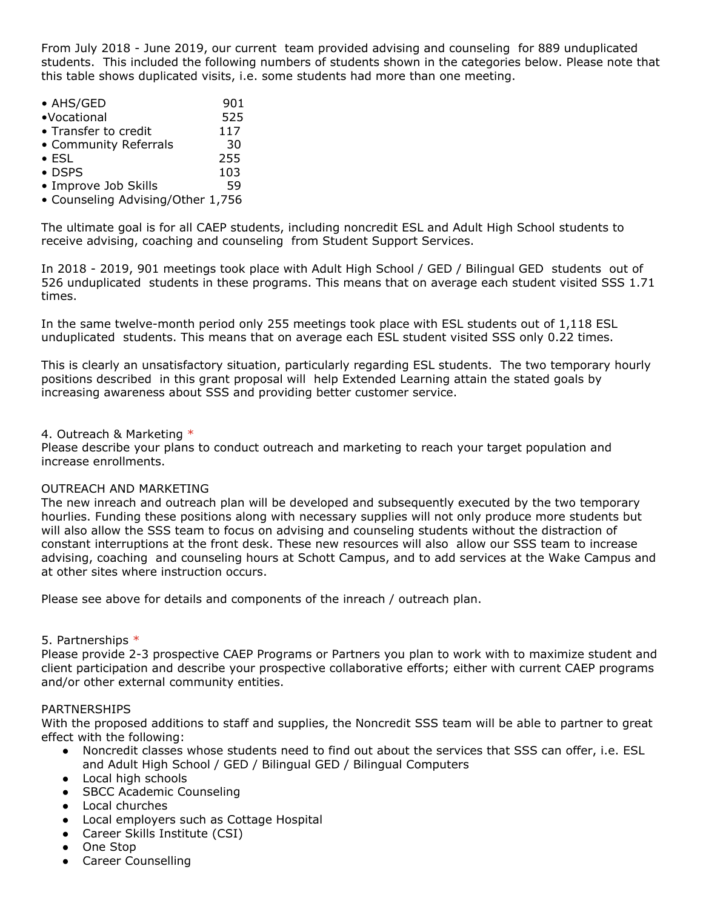From July 2018 - June 2019, our current team provided advising and counseling for 889 unduplicated students. This included the following numbers of students shown in the categories below. Please note that this table shows duplicated visits, i.e. some students had more than one meeting.

| • AHS/GED             | 901 |
|-----------------------|-----|
| •Vocational           | 525 |
| • Transfer to credit  | 117 |
| • Community Referrals | 30  |
| $\bullet$ ESL         | 255 |
| $\bullet$ DSPS        | 103 |
| • Improve Job Skills  | 59  |
|                       |     |

• Counseling Advising/Other 1,756

The ultimate goal is for all CAEP students, including noncredit ESL and Adult High School students to receive advising, coaching and counseling from Student Support Services.

In 2018 - 2019, 901 meetings took place with Adult High School / GED / Bilingual GED students out of 526 unduplicated students in these programs. This means that on average each student visited SSS 1.71 times.

In the same twelve-month period only 255 meetings took place with ESL students out of 1,118 ESL unduplicated students. This means that on average each ESL student visited SSS only 0.22 times.

This is clearly an unsatisfactory situation, particularly regarding ESL students. The two temporary hourly positions described in this grant proposal will help Extended Learning attain the stated goals by increasing awareness about SSS and providing better customer service.

#### 4. Outreach & Marketing \*

Please describe your plans to conduct outreach and marketing to reach your target population and increase enrollments.

#### OUTREACH AND MARKETING

The new inreach and outreach plan will be developed and subsequently executed by the two temporary hourlies. Funding these positions along with necessary supplies will not only produce more students but will also allow the SSS team to focus on advising and counseling students without the distraction of constant interruptions at the front desk. These new resources will also allow our SSS team to increase advising, coaching and counseling hours at Schott Campus, and to add services at the Wake Campus and at other sites where instruction occurs.

Please see above for details and components of the inreach / outreach plan.

#### 5. Partnerships \*

Please provide 2-3 prospective CAEP Programs or Partners you plan to work with to maximize student and client participation and describe your prospective collaborative efforts; either with current CAEP programs and/or other external community entities.

#### PARTNERSHIPS

With the proposed additions to staff and supplies, the Noncredit SSS team will be able to partner to great effect with the following:

- Noncredit classes whose students need to find out about the services that SSS can offer, i.e. ESL and Adult High School / GED / Bilingual GED / Bilingual Computers
- Local high schools
- SBCC Academic Counseling
- Local churches
- Local employers such as Cottage Hospital
- Career Skills Institute (CSI)
- One Stop
- Career Counselling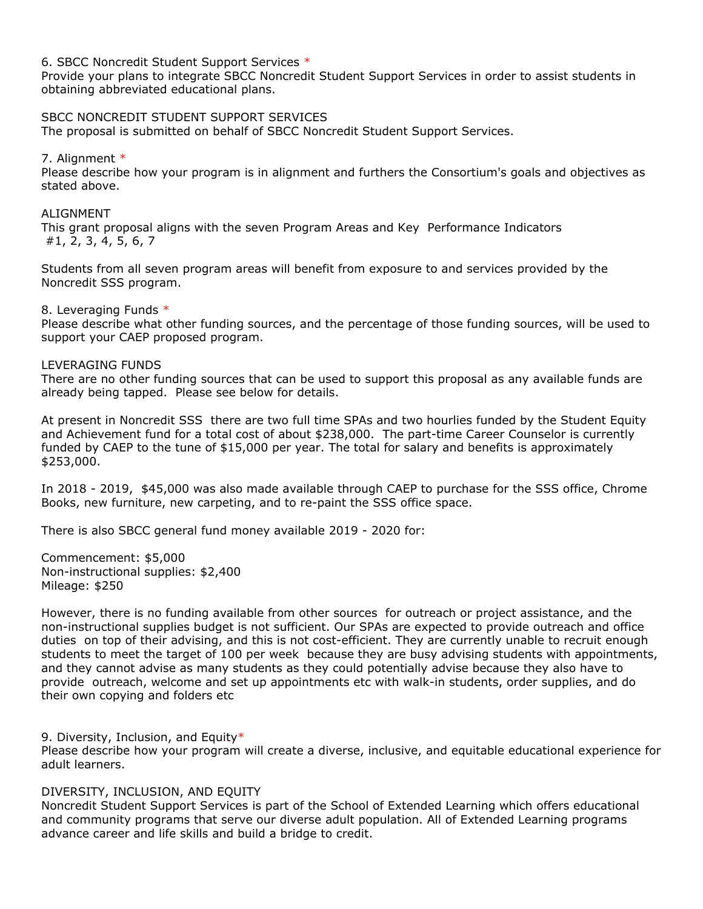6. SBCC Noncredit Student Support Services \*

Provide your plans to integrate SBCC Noncredit Student Support Services in order to assist students in obtaining abbreviated educational plans.

#### SBCC NONCREDIT STUDENT SUPPORT SERVICES

The proposal is submitted on behalf of SBCC Noncredit Student Support Services.

#### 7. Alignment \*

Please describe how your program is in alignment and furthers the Consortium's goals and objectives as stated above.

#### ALIGNMENT

This grant proposal aligns with the seven Program Areas and Key Performance Indicators #1, 2, 3, 4, 5, 6, 7

Students from all seven program areas will benefit from exposure to and services provided by the Noncredit SSS program.

#### 8. Leveraging Funds \*

Please describe what other funding sources, and the percentage of those funding sources, will be used to support your CAEP proposed program.

#### LEVERAGING FUNDS

There are no other funding sources that can be used to support this proposal as any available funds are already being tapped. Please see below for details.

At present in Noncredit SSS there are two full time SPAs and two hourlies funded by the Student Equity and Achievement fund for a total cost of about \$238,000. The part-time Career Counselor is currently funded by CAEP to the tune of \$15,000 per year. The total for salary and benefits is approximately \$253,000.

In 2018 - 2019, \$45,000 was also made available through CAEP to purchase for the SSS office, Chrome Books, new furniture, new carpeting, and to re-paint the SSS office space.

There is also SBCC general fund money available 2019 - 2020 for:

Commencement: \$5,000 Non-instructional supplies: \$2,400 Mileage: \$250

However, there is no funding available from other sources for outreach or project assistance, and the non-instructional supplies budget is not sufficient. Our SPAs are expected to provide outreach and office duties on top of their advising, and this is not cost-efficient. They are currently unable to recruit enough students to meet the target of 100 per week because they are busy advising students with appointments, and they cannot advise as many students as they could potentially advise because they also have to provide outreach, welcome and set up appointments etc with walk-in students, order supplies, and do their own copying and folders etc

9. Diversity, Inclusion, and Equity\*

Please describe how your program will create a diverse, inclusive, and equitable educational experience for adult learners.

#### DIVERSITY, INCLUSION, AND EQUITY

Noncredit Student Support Services is part of the School of Extended Learning which offers educational and community programs that serve our diverse adult population. All of Extended Learning programs advance career and life skills and build a bridge to credit.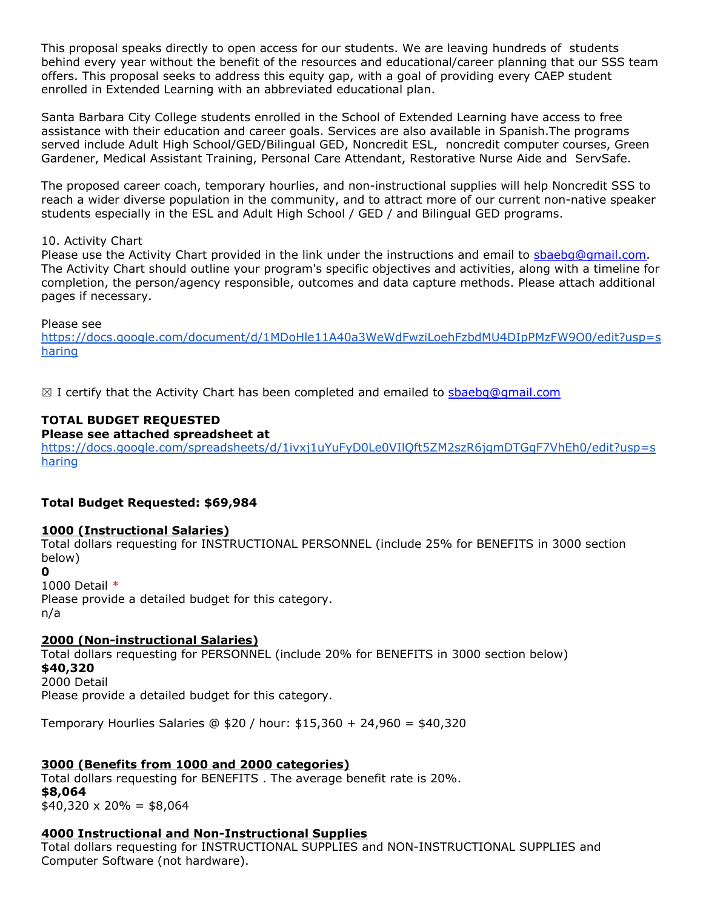This proposal speaks directly to open access for our students. We are leaving hundreds of students behind every year without the benefit of the resources and educational/career planning that our SSS team offers. This proposal seeks to address this equity gap, with a goal of providing every CAEP student enrolled in Extended Learning with an abbreviated educational plan.

Santa Barbara City College students enrolled in the School of Extended Learning have access to free assistance with their education and career goals. Services are also available in Spanish.The programs served include Adult High School/GED/Bilingual GED, Noncredit ESL, noncredit computer courses, Green Gardener, Medical Assistant Training, Personal Care Attendant, Restorative Nurse Aide and ServSafe.

The proposed career coach, temporary hourlies, and non-instructional supplies will help Noncredit SSS to reach a wider diverse population in the community, and to attract more of our current non-native speaker students especially in the ESL and Adult High School / GED / and Bilingual GED programs.

#### 10. Activity Chart

Please use the Activity Chart provided in the link under the instructions and email to [sbaebg@gmail.com.](mailto:sbaebg@gmail.com) The Activity Chart should outline your program's specific objectives and activities, along with a timeline for completion, the person/agency responsible, outcomes and data capture methods. Please attach additional pages if necessary.

Please see

[https://docs.google.com/document/d/1MDoHle11A40a3WeWdFwziLoehFzbdMU4DIpPMzFW9O0/edit?usp=s](https://docs.google.com/document/d/1MDoHle11A40a3WeWdFwziLoehFzbdMU4DIpPMzFW9O0/edit?usp=sharing) [haring](https://docs.google.com/document/d/1MDoHle11A40a3WeWdFwziLoehFzbdMU4DIpPMzFW9O0/edit?usp=sharing)

 $\boxtimes$  I certify that the Activity Chart has been completed and emailed to [sbaebg@gmail.com](mailto:sbaebg@gmail.com)

# **TOTAL BUDGET REQUESTED**

#### **Please see attached spreadsheet at**

[https://docs.google.com/spreadsheets/d/1ivxj1uYuFyD0Le0VIlQft5ZM2szR6jgmDTGgF7VhEh0/edit?usp=s](https://docs.google.com/spreadsheets/d/1ivxj1uYuFyD0Le0VIlQft5ZM2szR6jgmDTGgF7VhEh0/edit?usp=sharing) [haring](https://docs.google.com/spreadsheets/d/1ivxj1uYuFyD0Le0VIlQft5ZM2szR6jgmDTGgF7VhEh0/edit?usp=sharing)

#### **Total Budget Requested: \$69,984**

#### **1000 (Instructional Salaries)**

Total dollars requesting for INSTRUCTIONAL PERSONNEL (include 25% for BENEFITS in 3000 section below)

**0**

#### 1000 Detail \*

Please provide a detailed budget for this category. n/a

#### **2000 (Non-instructional Salaries)**

Total dollars requesting for PERSONNEL (include 20% for BENEFITS in 3000 section below) **\$40,320** 2000 Detail Please provide a detailed budget for this category.

Temporary Hourlies Salaries @ \$20 / hour: \$15,360 + 24,960 = \$40,320

# **3000 (Benefits from 1000 and 2000 categories)**

Total dollars requesting for BENEFITS . The average benefit rate is 20%. **\$8,064**  $$40,320 \times 20\% = $8,064$ 

#### **4000 Instructional and Non-Instructional Supplies**

Total dollars requesting for INSTRUCTIONAL SUPPLIES and NON-INSTRUCTIONAL SUPPLIES and Computer Software (not hardware).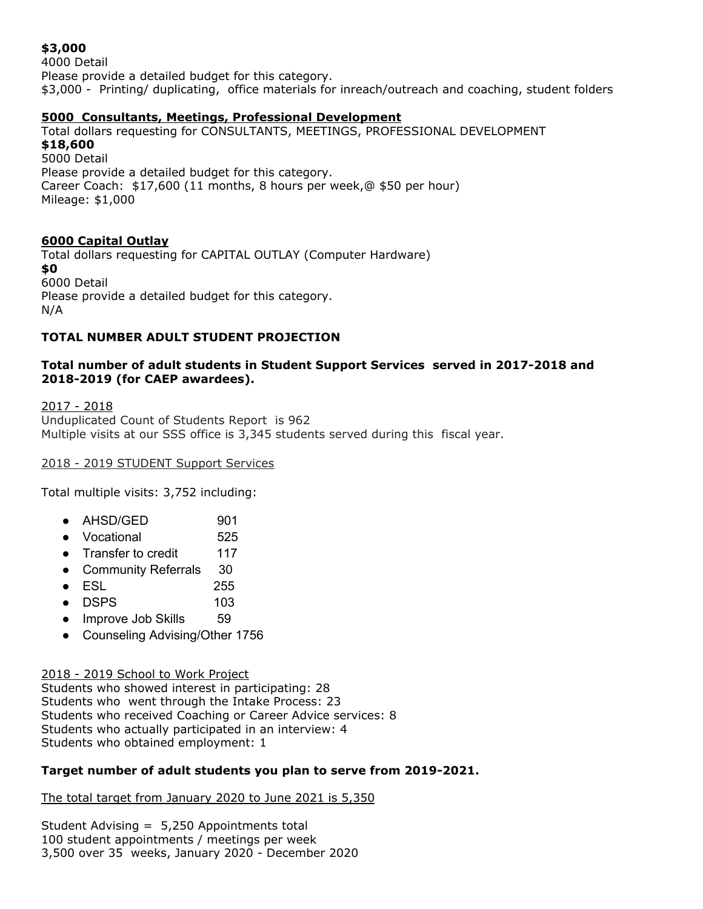# **\$3,000**

4000 Detail Please provide a detailed budget for this category. \$3,000 - Printing/ duplicating, office materials for inreach/outreach and coaching, student folders

#### **5000 Consultants, Meetings, Professional Development**

Total dollars requesting for CONSULTANTS, MEETINGS, PROFESSIONAL DEVELOPMENT **\$18,600** 5000 Detail Please provide a detailed budget for this category. Career Coach: \$17,600 (11 months, 8 hours per week,@ \$50 per hour) Mileage: \$1,000

# **6000 Capital Outlay**

Total dollars requesting for CAPITAL OUTLAY (Computer Hardware) **\$0** 6000 Detail Please provide a detailed budget for this category. N/A

# **TOTAL NUMBER ADULT STUDENT PROJECTION**

#### **Total number of adult students in Student Support Services served in 2017-2018 and 2018-2019 (for CAEP awardees).**

2017 - 2018 Unduplicated Count of Students Report is 962 Multiple visits at our SSS office is 3,345 students served during this fiscal year.

2018 - 2019 STUDENT Support Services

Total multiple visits: 3,752 including:

- AHSD/GED 901
- Vocational 525
- Transfer to credit 117
- Community Referrals 30
- ESL 255
- DSPS 103
- Improve Job Skills 59
- Counseling Advising/Other 1756

#### 2018 - 2019 School to Work Project

Students who showed interest in participating: 28 Students who went through the Intake Process: 23 Students who received Coaching or Career Advice services: 8 Students who actually participated in an interview: 4 Students who obtained employment: 1

#### **Target number of adult students you plan to serve from 2019-2021.**

The total target from January 2020 to June 2021 is 5,350

Student Advising = 5,250 Appointments total 100 student appointments / meetings per week 3,500 over 35 weeks, January 2020 - December 2020